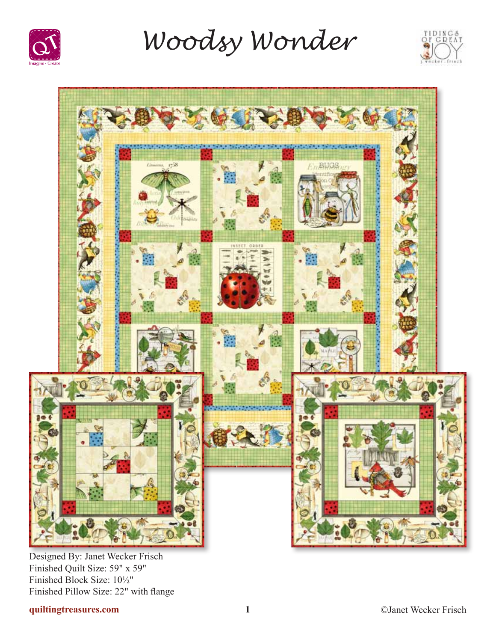

*Woodsy Wonder*





Designed By: Janet Wecker Frisch Finished Quilt Size: 59" x 59" Finished Block Size: 10½" Finished Pillow Size: 22" with flange

**quiltingtreasures.com**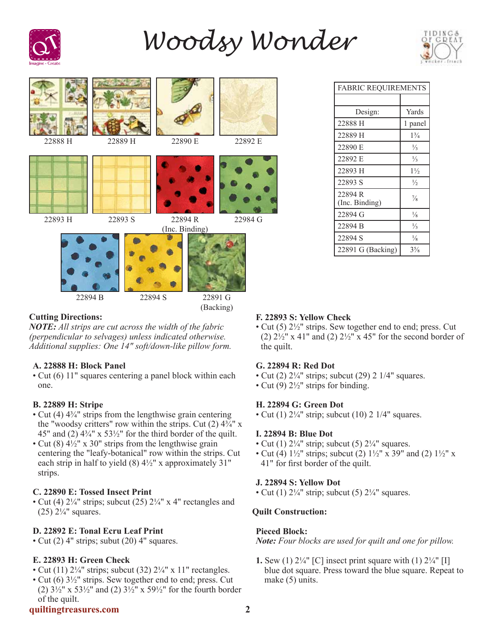

# *Woodsy Wonder*





## **Cutting Directions:**

*NOTE: All strips are cut across the width of the fabric (perpendicular to selvages) unless indicated otherwise. Additional supplies: One 14" soft/down-like pillow form.*

## **A. 22888 H: Block Panel**

• Cut (6) 11" squares centering a panel block within each one.

## **B. 22889 H: Stripe**

- Cut (4)  $4\frac{3}{4}$ " strips from the lengthwise grain centering the "woodsy critters" row within the strips. Cut  $(2)$  4 $\frac{3}{4}$ " x 45" and (2)  $4\frac{3}{4}$ " x 53 $\frac{1}{2}$ " for the third border of the quilt.
- Cut (8)  $4\frac{1}{2}$ " x 30" strips from the lengthwise grain centering the "leafy-botanical" row within the strips. Cut each strip in half to yield  $(8)$  4½" x approximately 31" strips.

## **C. 22890 E: Tossed Insect Print**

• Cut (4)  $2\frac{1}{4}$ " strips; subcut (25)  $2\frac{1}{4}$ " x 4" rectangles and (25)  $2\frac{1}{4}$ " squares.

## **D. 22892 E: Tonal Ecru Leaf Print**

• Cut (2) 4" strips; subut (20) 4" squares.

## **E. 22893 H: Green Check**

- Cut (11)  $2\frac{1}{4}$ " strips; subcut (32)  $2\frac{1}{4}$ " x 11" rectangles.
- Cut (6)  $3\frac{1}{2}$ " strips. Sew together end to end; press. Cut (2)  $3\frac{1}{2}$ " x  $53\frac{1}{2}$ " and (2)  $3\frac{1}{2}$ " x  $59\frac{1}{2}$ " for the fourth border of the quilt.

# **quiltingtreasures.com 2**

| <b>FABRIC REQUIREMENTS</b> |                |
|----------------------------|----------------|
|                            |                |
| Design:                    | Yards          |
| 22888 H                    | 1 panel        |
| 22889 H                    | $1\frac{3}{4}$ |
| 22890 E                    | $\frac{1}{3}$  |
| 22892 E                    | $\frac{1}{3}$  |
| 22893 H                    | $1\frac{1}{2}$ |
| 22893 S                    | $\frac{1}{2}$  |
| 22894 R<br>(Inc. Binding)  | $\frac{7}{8}$  |
| 22894 G                    | $\frac{1}{8}$  |
| 22894 B                    | $\frac{1}{3}$  |
| 22894 S                    | $\frac{1}{8}$  |
| 22891 G (Backing)          | $3\frac{5}{8}$ |

## **F. 22893 S: Yellow Check**

• Cut (5)  $2\frac{1}{2}$ " strips. Sew together end to end; press. Cut (2)  $2\frac{1}{2}$ " x 41" and (2)  $2\frac{1}{2}$ " x 45" for the second border of the quilt.

## **G. 22894 R: Red Dot**

- Cut (2)  $2\frac{1}{4}$ " strips; subcut (29) 2  $1/4$ " squares.
- Cut (9)  $2\frac{1}{2}$ " strips for binding.

## **H. 22894 G: Green Dot**

• Cut (1)  $2\frac{1}{4}$ " strip; subcut (10) 2 1/4" squares.

#### **I. 22894 B: Blue Dot**

- Cut (1)  $2\frac{1}{4}$ " strip; subcut (5)  $2\frac{1}{4}$ " squares.
- Cut (4)  $1\frac{1}{2}$ " strips; subcut (2)  $1\frac{1}{2}$ " x 39" and (2)  $1\frac{1}{2}$ " x 41" for first border of the quilt.

#### **J. 22894 S: Yellow Dot**

• Cut (1)  $2\frac{1}{4}$ " strip; subcut (5)  $2\frac{1}{4}$ " squares.

#### **Quilt Construction:**

#### **Pieced Block:**

*Note: Four blocks are used for quilt and one for pillow.*

**1.** Sew (1)  $2\frac{1}{4}$ " [C] insect print square with (1)  $2\frac{1}{4}$ " [I] blue dot square. Press toward the blue square. Repeat to make  $(5)$  units.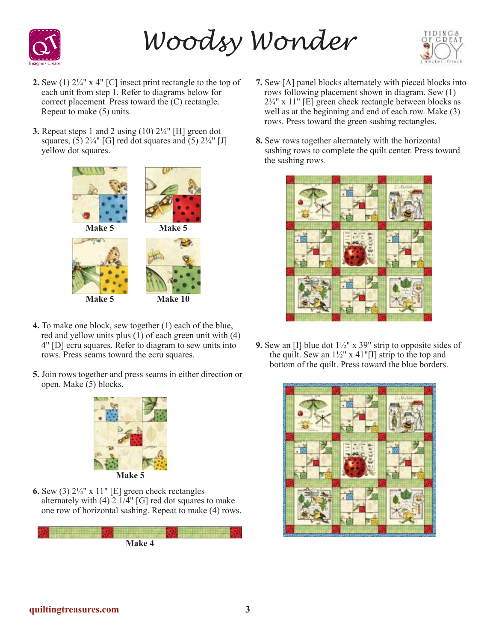

*Woodsy Wonder*



- **2.** Sew (1) 2¼" x 4" [C] insect print rectangle to the top of each unit from step 1. Refer to diagrams below for correct placement. Press toward the (C) rectangle. Repeat to make (5) units.
- **3.** Repeat steps 1 and 2 using  $(10)$   $2\frac{1}{4}$  [H] green dot squares,  $(5)$  2¼" [G] red dot squares and  $(5)$  2¼" [J] yellow dot squares.



- **4.** To make one block, sew together (1) each of the blue, red and yellow units plus  $(1)$  of each green unit with  $(4)$ 4" [D] ecru squares. Refer to diagram to sew units into rows. Press seams toward the ecru squares.
- **5.** Join rows together and press seams in either direction or open. Make (5) blocks.



**6.** Sew (3)  $2\frac{1}{4}$ " x 11" [E] green check rectangles alternately with (4) 2 1/4" [G] red dot squares to make one row of horizontal sashing. Repeat to make (4) rows.



- **7.** Sew [A] panel blocks alternately with pieced blocks into rows following placement shown in diagram. Sew (1)  $2\frac{1}{4}$ " x 11" [E] green check rectangle between blocks as well as at the beginning and end of each row. Make (3) rows. Press toward the green sashing rectangles.
- **8.** Sew rows together alternately with the horizontal sashing rows to complete the quilt center. Press toward the sashing rows.



**9.** Sew an [I] blue dot 1½" x 39" strip to opposite sides of the quilt. Sew an  $1\frac{1}{2}$ " x 41"[I] strip to the top and bottom of the quilt. Press toward the blue borders.

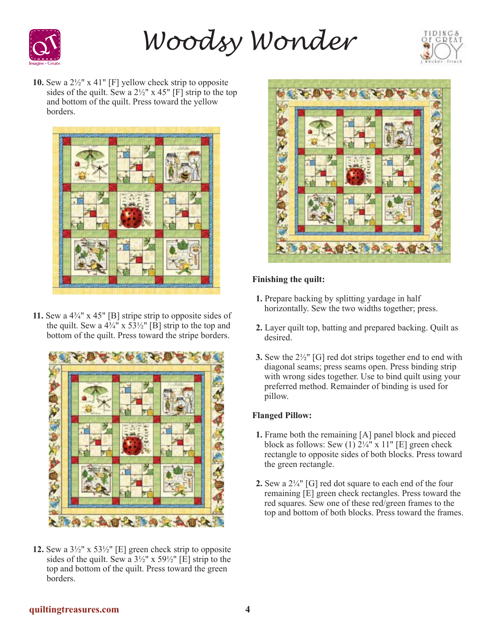

*Woodsy Wonder*



**10.** Sew a 2½" x 41" [F] yellow check strip to opposite sides of the quilt. Sew a  $2\frac{1}{2}$ " x 45" [F] strip to the top and bottom of the quilt. Press toward the yellow borders.



**11.** Sew a 4¾" x 45" [B] stripe strip to opposite sides of the quilt. Sew a  $4\frac{3}{4}$ " x  $5\frac{3}{2}$ " [B] strip to the top and bottom of the quilt. Press toward the stripe borders.



**12.** Sew a  $3\frac{1}{2}$ " x  $53\frac{1}{2}$ " [E] green check strip to opposite sides of the quilt. Sew a  $3\frac{1}{2}$ " x  $59\frac{1}{2}$ " [E] strip to the top and bottom of the quilt. Press toward the green borders.



# **Finishing the quilt:**

- **1.** Prepare backing by splitting yardage in half horizontally. Sew the two widths together; press.
- **2.** Layer quilt top, batting and prepared backing. Quilt as desired.
- **3.** Sew the 2½" [G] red dot strips together end to end with diagonal seams; press seams open. Press binding strip with wrong sides together. Use to bind quilt using your preferred method. Remainder of binding is used for pillow.

# **Flanged Pillow:**

- **1.** Frame both the remaining [A] panel block and pieced block as follows: Sew  $(1)$   $2\frac{1}{4}$ " x  $11$ " [E] green check rectangle to opposite sides of both blocks. Press toward the green rectangle.
- **2.** Sew a 2¼" [G] red dot square to each end of the four remaining [E] green check rectangles. Press toward the red squares. Sew one of these red/green frames to the top and bottom of both blocks. Press toward the frames.